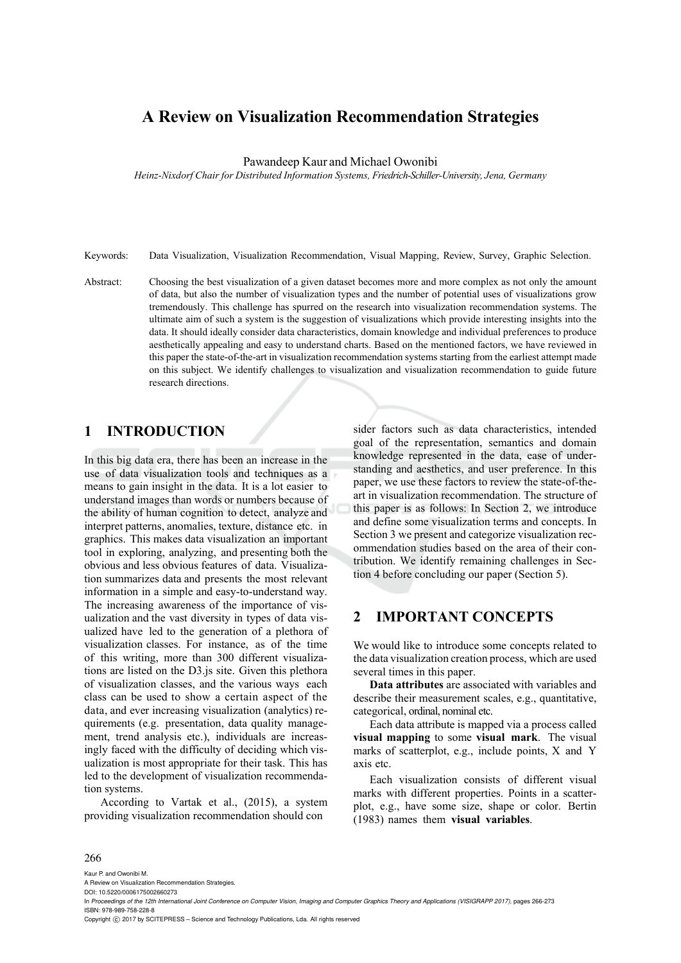# **A Review on Visualization Recommendation Strategies**

#### Pawandeep Kaur and Michael Owonibi

*Heinz-Nixdorf Chair for Distributed Information Systems, Friedrich-Schiller-University, Jena, Germany*

Keywords: Data Visualization, Visualization Recommendation, Visual Mapping, Review, Survey, Graphic Selection.

Abstract: Choosing the best visualization of a given dataset becomes more and more complex as not only the amount of data, but also the number of visualization types and the number of potential uses of visualizations grow tremendously. This challenge has spurred on the research into visualization recommendation systems. The ultimate aim of such a system is the suggestion of visualizations which provide interesting insights into the data. It should ideally consider data characteristics, domain knowledge and individual preferences to produce aesthetically appealing and easy to understand charts. Based on the mentioned factors, we have reviewed in this paper the state-of-the-art in visualization recommendation systems starting from the earliest attempt made on this subject. We identify challenges to visualization and visualization recommendation to guide future research directions.

# **1 INTRODUCTION**

In this big data era, there has been an increase in the use of data visualization tools and techniques as a means to gain insight in the data. It is a lot easier to understand images than words or numbers because of the ability of human cognition to detect, analyze and interpret patterns, anomalies, texture, distance etc. in graphics. This makes data visualization an important tool in exploring, analyzing, and presenting both the obvious and less obvious features of data. Visualization summarizes data and presents the most relevant information in a simple and easy-to-understand way. The increasing awareness of the importance of visualization and the vast diversity in types of data visualized have led to the generation of a plethora of visualization classes. For instance, as of the time of this writing, more than 300 different visualizations are listed on the D3.js site. Given this plethora of visualization classes, and the various ways each class can be used to show a certain aspect of the data, and ever increasing visualization (analytics) requirements (e.g. presentation, data quality management, trend analysis etc.), individuals are increasingly faced with the difficulty of deciding which visualization is most appropriate for their task. This has led to the development of visualization recommendation systems.

According to Vartak et al., (2015), a system providing visualization recommendation should con

sider factors such as data characteristics, intended goal of the representation, semantics and domain knowledge represented in the data, ease of understanding and aesthetics, and user preference. In this paper, we use these factors to review the state-of-theart in visualization recommendation. The structure of this paper is as follows: In Section 2, we introduce and define some visualization terms and concepts. In Section 3 we present and categorize visualization recommendation studies based on the area of their contribution. We identify remaining challenges in Section 4 before concluding our paper (Section 5).

## **2 IMPORTANT CONCEPTS**

We would like to introduce some concepts related to the data visualization creation process, which are used several times in this paper.

**Data attributes** are associated with variables and describe their measurement scales, e.g., quantitative, categorical, ordinal, nominal etc.

Each data attribute is mapped via a process called **visual mapping** to some **visual mark**. The visual marks of scatterplot, e.g., include points, X and Y axis etc.

Each visualization consists of different visual marks with different properties. Points in a scatterplot, e.g., have some size, shape or color. Bertin (1983) names them **visual variables**.

#### 266

Kaur P. and Owonibi M.

A Review on Visualization Recommendation Strategies. DOI: 10.5220/0006175002660273

Copyright © 2017 by SCITEPRESS - Science and Technology Publications, Lda. All rights reserved

In *Proceedings of the 12th International Joint Conference on Computer Vision, Imaging and Computer Graphics Theory and Applications (VISIGRAPP 2017)*, pages 266-273 ISBN: 978-989-758-228-8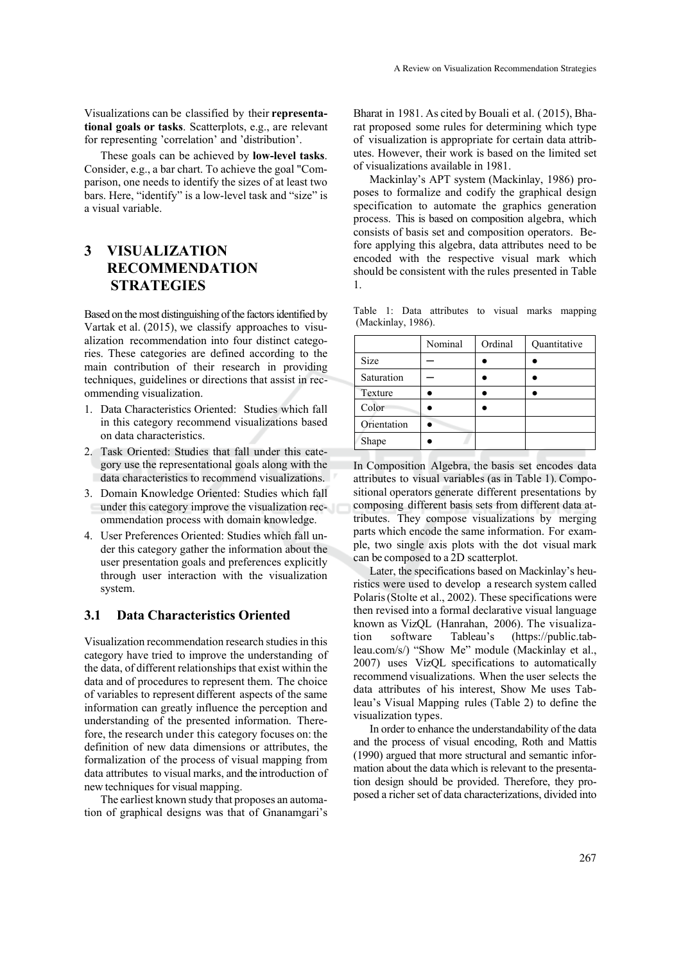Visualizations can be classified by their **representational goals or tasks**. Scatterplots, e.g., are relevant for representing 'correlation' and 'distribution'.

These goals can be achieved by **low-level tasks**. Consider, e.g., a bar chart. To achieve the goal "Comparison, one needs to identify the sizes of at least two bars. Here, "identify" is a low-level task and "size" is a visual variable.

# **3 VISUALIZATION RECOMMENDATION STRATEGIES**

Based on the most distinguishing of the factors identified by Vartak et al. (2015), we classify approaches to visualization recommendation into four distinct categories. These categories are defined according to the main contribution of their research in providing techniques, guidelines or directions that assist in recommending visualization.

- 1. Data Characteristics Oriented: Studies which fall in this category recommend visualizations based on data characteristics.
- 2. Task Oriented: Studies that fall under this category use the representational goals along with the data characteristics to recommend visualizations.
- 3. Domain Knowledge Oriented: Studies which fall under this category improve the visualization recommendation process with domain knowledge.
- 4. User Preferences Oriented: Studies which fall under this category gather the information about the user presentation goals and preferences explicitly through user interaction with the visualization system.

### **3.1 Data Characteristics Oriented**

Visualization recommendation research studies in this category have tried to improve the understanding of the data, of different relationships that exist within the data and of procedures to represent them. The choice of variables to represent different aspects of the same information can greatly influence the perception and understanding of the presented information. Therefore, the research under this category focuses on: the definition of new data dimensions or attributes, the formalization of the process of visual mapping from data attributes to visual marks, and the introduction of new techniques for visual mapping.

The earliest known study that proposes an automation of graphical designs was that of Gnanamgari's

Bharat in 1981. As cited by Bouali et al. (2015), Bharat proposed some rules for determining which type of visualization is appropriate for certain data attributes. However, their work is based on the limited set of visualizations available in 1981.

Mackinlay's APT system (Mackinlay, 1986) proposes to formalize and codify the graphical design specification to automate the graphics generation process. This is based on composition algebra, which consists of basis set and composition operators. Before applying this algebra, data attributes need to be encoded with the respective visual mark which should be consistent with the rules presented in Table 1.

Table 1: Data attributes to visual marks mapping (Mackinlay, 1986).

|             | Nominal | Ordinal | Quantitative |
|-------------|---------|---------|--------------|
| Size        |         |         |              |
| Saturation  |         |         |              |
| Texture     |         |         |              |
| Color       |         |         |              |
| Orientation |         |         |              |
| Shape       |         |         |              |

In Composition Algebra, the basis set encodes data attributes to visual variables (as in Table 1). Compositional operators generate different presentations by composing different basis sets from different data attributes. They compose visualizations by merging parts which encode the same information. For example, two single axis plots with the dot visual mark can be composed to a 2D scatterplot.

Later, the specifications based on Mackinlay's heuristics were used to develop a research system called Polaris (Stolte et al., 2002). These specifications were then revised into a formal declarative visual language known as VizQL (Hanrahan, 2006). The visualization software Tableau's (https://public.tableau.com/s/) "Show Me" module (Mackinlay et al., 2007) uses VizQL specifications to automatically recommend visualizations. When the user selects the data attributes of his interest, Show Me uses Tableau's Visual Mapping rules (Table 2) to define the visualization types.

In order to enhance the understandability of the data and the process of visual encoding, Roth and Mattis (1990) argued that more structural and semantic information about the data which is relevant to the presentation design should be provided. Therefore, they proposed a richer set of data characterizations, divided into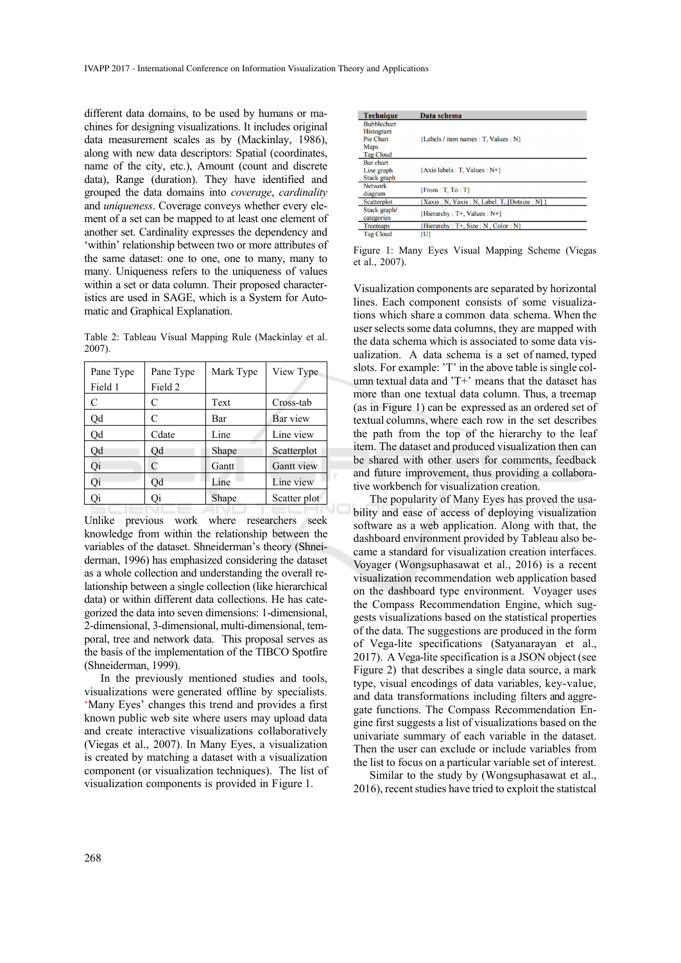different data domains, to be used by humans or machines for designing visualizations. It includes original data measurement scales as by (Mackinlay, 1986), along with new data descriptors: Spatial (coordinates, name of the city, etc.), Amount (count and discrete data), Range (duration). They have identified and grouped the data domains into *coverage*, *cardinality* and *uniqueness*. Coverage conveys whether every element of a set can be mapped to at least one element of another set. Cardinality expresses the dependency and 'within' relationship between two or more attributes of the same dataset: one to one, one to many, many to many. Uniqueness refers to the uniqueness of values within a set or data column. Their proposed characteristics are used in SAGE, which is a System for Automatic and Graphical Explanation.

Table 2: Tableau Visual Mapping Rule (Mackinlay et al. 2007).

| Pane Type | Pane Type | Mark Type | View Type    |
|-----------|-----------|-----------|--------------|
| Field 1   | Field 2   |           |              |
| C         | C         | Text      | Cross-tab    |
| Qd        | C         | Bar       | Bar view     |
| bÇ        | Cdate     | Line      | Line view    |
| Qd        | Qd        | Shape     | Scatterplot  |
| Oi        | C         | Gantt     | Gantt view   |
| Qi        | Qd        | Line      | Line view    |
| Эi        | Эi        | Shape     | Scatter plot |

Unlike previous work where researchers seek knowledge from within the relationship between the variables of the dataset. Shneiderman's theory (Shneiderman, 1996) has emphasized considering the dataset as a whole collection and understanding the overall relationship between a single collection (like hierarchical data) or within different data collections. He has categorized the data into seven dimensions: 1-dimensional, 2-dimensional, 3-dimensional, multi-dimensional, temporal, tree and network data. This proposal serves as the basis of the implementation of the TIBCO Spotfire (Shneiderman, 1999).

In the previously mentioned studies and tools, visualizations were generated offline by specialists. 'Many Eyes' changes this trend and provides a first known public web site where users may upload data and create interactive visualizations collaboratively (Viegas et al., 2007). In Many Eyes, a visualization is created by matching a dataset with a visualization component (or visualization techniques). The list of visualization components is provided in Figure 1.

| <b>Technique</b>                              | Data schema                                      |
|-----------------------------------------------|--------------------------------------------------|
| <b>Bubblechart</b><br>Histogram<br>Pie Chart  |                                                  |
| <b>Maps</b><br><b>Tag Cloud</b>               | {Labels / item names : T. Values : N}            |
| <b>Bar</b> chart<br>Line graph<br>Stack graph | $\{Axis \, labels : T, Values : N^+\}$           |
| <b>Network</b><br>diagram                     | $\{From: T, To: T\}$                             |
| <b>Scatterplot</b>                            | {Xaxis : N, Yaxis : N, Label: T, [Dotsize : N] } |
| Stack graph/<br>categories                    | {Hierarchy : T+, Values : N+}                    |
| Treemaps                                      | {Hierarchy: T+, Size: N, Color: N}               |
| <b>Tag Cloud</b>                              | {U}                                              |

Figure 1: Many Eyes Visual Mapping Scheme (Viegas et al., 2007).

Visualization components are separated by horizontal lines. Each component consists of some visualizations which share a common data schema. When the user selects some data columns, they are mapped with the data schema which is associated to some data visualization. A data schema is a set of named, typed slots. For example: 'T' in the above table is single column textual data and 'T+' means that the dataset has more than one textual data column. Thus, a treemap (as in Figure 1) can be expressed as an ordered set of textual columns, where each row in the set describes the path from the top of the hierarchy to the leaf item. The dataset and produced visualization then can be shared with other users for comments, feedback and future improvement, thus providing a collaborative workbench for visualization creation.

The popularity of Many Eyes has proved the usability and ease of access of deploying visualization software as a web application. Along with that, the dashboard environment provided by Tableau also became a standard for visualization creation interfaces. Voyager (Wongsuphasawat et al., 2016) is a recent visualization recommendation web application based on the dashboard type environment. Voyager uses the Compass Recommendation Engine, which suggests visualizations based on the statistical properties of the data. The suggestions are produced in the form of Vega-lite specifications (Satyanarayan et al., 2017). A Vega-lite specification is a JSON object (see Figure 2) that describes a single data source, a mark type, visual encodings of data variables, key-value, and data transformations including filters and aggregate functions. The Compass Recommendation Engine first suggests a list of visualizations based on the univariate summary of each variable in the dataset. Then the user can exclude or include variables from the list to focus on a particular variable set of interest.

Similar to the study by (Wongsuphasawat et al., 2016), recent studies have tried to exploit the statistcal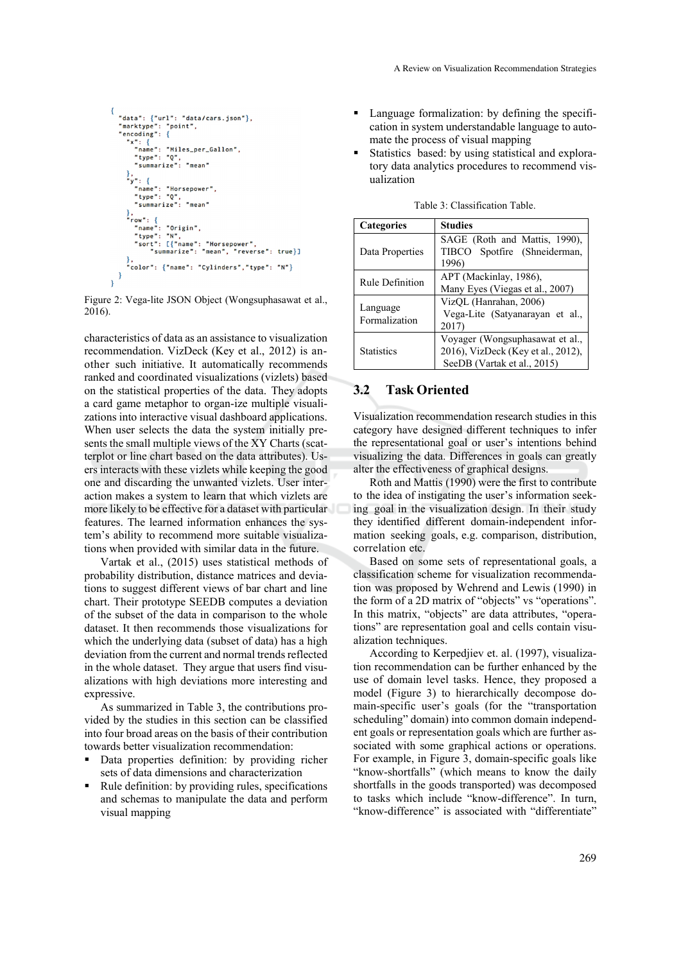```
"data": {"url": "data/cars.json"},<br>"marktype": "point",<br>"encoding": {
   "x": {<br>"x": {<br>"name": "Miles_per_Gallon",<br>"type": "Q",
      "type": "Q",<br>"summarize": "mean'
   },<br>"y": {<br>"name": "Horsepower",
      name": "norsepower"<br>"type": "Q",<br>"summarize": "mean"
},<br>"row": {<br>"name": "Origin",<br>"type": "N",<br>"sort": [{"name":
      "sort": [{"name": "Horsepower",<br>"sort": [{"name": "Horsepower",<br>"summarize": "mean", "reverse": true}]
   ,<br>"color": {"name": "Cylinders","type": "N"}
```
Figure 2: Vega-lite JSON Object (Wongsuphasawat et al., 2016).

characteristics of data as an assistance to visualization recommendation. VizDeck (Key et al., 2012) is another such initiative. It automatically recommends ranked and coordinated visualizations (vizlets) based on the statistical properties of the data. They adopts a card game metaphor to organ-ize multiple visualizations into interactive visual dashboard applications. When user selects the data the system initially presents the small multiple views of the XY Charts (scatterplot or line chart based on the data attributes). Users interacts with these vizlets while keeping the good one and discarding the unwanted vizlets. User interaction makes a system to learn that which vizlets are more likely to be effective for a dataset with particular features. The learned information enhances the system's ability to recommend more suitable visualizations when provided with similar data in the future.

Vartak et al., (2015) uses statistical methods of probability distribution, distance matrices and deviations to suggest different views of bar chart and line chart. Their prototype SEEDB computes a deviation of the subset of the data in comparison to the whole dataset. It then recommends those visualizations for which the underlying data (subset of data) has a high deviation from the current and normal trends reflected in the whole dataset. They argue that users find visualizations with high deviations more interesting and expressive.

As summarized in Table 3, the contributions provided by the studies in this section can be classified into four broad areas on the basis of their contribution towards better visualization recommendation:

- Data properties definition: by providing richer sets of data dimensions and characterization
- Rule definition: by providing rules, specifications and schemas to manipulate the data and perform visual mapping
- Language formalization: by defining the specification in system understandable language to automate the process of visual mapping
- Statistics based: by using statistical and exploratory data analytics procedures to recommend visualization

| <b>Categories</b>         | <b>Studies</b>                                                                                       |  |
|---------------------------|------------------------------------------------------------------------------------------------------|--|
| Data Properties           | SAGE (Roth and Mattis, 1990).<br>TIBCO Spotfire (Shneiderman,<br>1996)                               |  |
| <b>Rule Definition</b>    | APT (Mackinlay, 1986),<br>Many Eyes (Viegas et al., 2007)                                            |  |
| Language<br>Formalization | VizQL (Hanrahan, 2006)<br>Vega-Lite (Satyanarayan et al.,<br>2017)                                   |  |
| <b>Statistics</b>         | Voyager (Wongsuphasawat et al.,<br>2016), VizDeck (Key et al., 2012),<br>SeeDB (Vartak et al., 2015) |  |

Table 3: Classification Table.

### **3.2 Task Oriented**

Visualization recommendation research studies in this category have designed different techniques to infer the representational goal or user's intentions behind visualizing the data. Differences in goals can greatly alter the effectiveness of graphical designs.

Roth and Mattis (1990) were the first to contribute to the idea of instigating the user's information seeking goal in the visualization design. In their study they identified different domain-independent information seeking goals, e.g. comparison, distribution, correlation etc.

Based on some sets of representational goals, a classification scheme for visualization recommendation was proposed by Wehrend and Lewis (1990) in the form of a 2D matrix of "objects" vs "operations". In this matrix, "objects" are data attributes, "operations" are representation goal and cells contain visualization techniques.

According to Kerpedjiev et. al. (1997), visualization recommendation can be further enhanced by the use of domain level tasks. Hence, they proposed a model (Figure 3) to hierarchically decompose domain-specific user's goals (for the "transportation scheduling" domain) into common domain independent goals or representation goals which are further associated with some graphical actions or operations. For example, in Figure 3, domain-specific goals like "know-shortfalls" (which means to know the daily shortfalls in the goods transported) was decomposed to tasks which include "know-difference". In turn, "know-difference" is associated with "differentiate"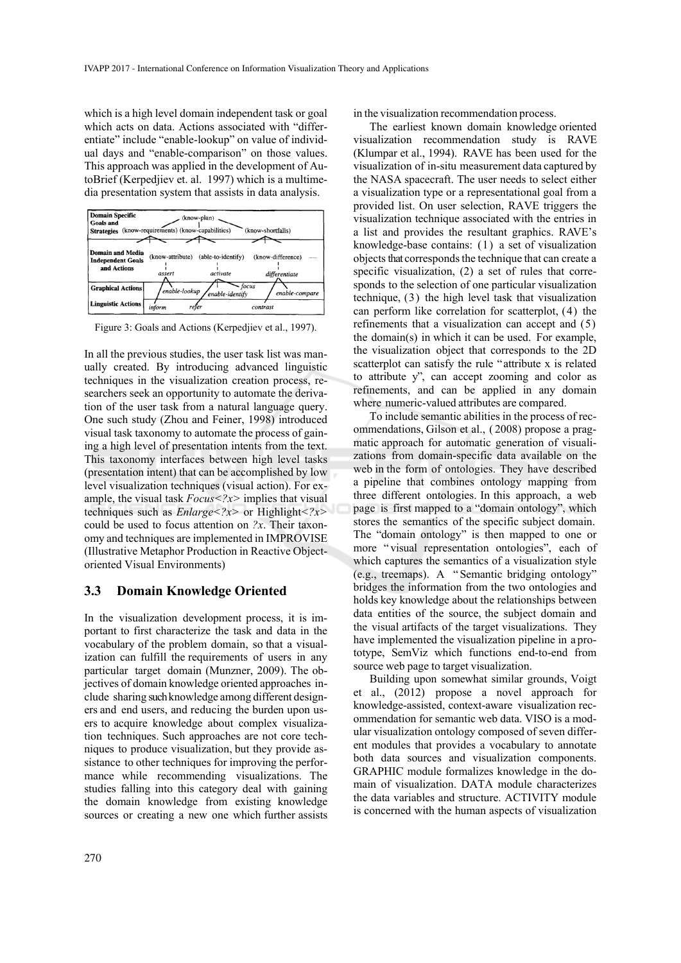which is a high level domain independent task or goal which acts on data. Actions associated with "differentiate" include "enable-lookup" on value of individual days and "enable-comparison" on those values. This approach was applied in the development of AutoBrief (Kerpedjiev et. al. 1997) which is a multimedia presentation system that assists in data analysis.



Figure 3: Goals and Actions (Kerpedjiev et al., 1997).

In all the previous studies, the user task list was manually created. By introducing advanced linguistic techniques in the visualization creation process, researchers seek an opportunity to automate the derivation of the user task from a natural language query. One such study (Zhou and Feiner, 1998) introduced visual task taxonomy to automate the process of gaining a high level of presentation intents from the text. This taxonomy interfaces between high level tasks (presentation intent) that can be accomplished by low level visualization techniques (visual action). For example, the visual task *Focus<?x>* implies that visual techniques such as *Enlarge<?x>* or Highlight*<?x>* could be used to focus attention on *?x*. Their taxonomy and techniques are implemented in IMPROVISE (Illustrative Metaphor Production in Reactive Objectoriented Visual Environments)

#### **3.3 Domain Knowledge Oriented**

In the visualization development process, it is important to first characterize the task and data in the vocabulary of the problem domain, so that a visualization can fulfill the requirements of users in any particular target domain (Munzner, 2009). The objectives of domain knowledge oriented approaches include sharing such knowledge among different designers and end users, and reducing the burden upon users to acquire knowledge about complex visualization techniques. Such approaches are not core techniques to produce visualization, but they provide assistance to other techniques for improving the performance while recommending visualizations. The studies falling into this category deal with gaining the domain knowledge from existing knowledge sources or creating a new one which further assists

in the visualization recommendation process.

The earliest known domain knowledge oriented visualization recommendation study is RAVE (Klumpar et al., 1994). RAVE has been used for the visualization of in-situ measurement data captured by the NASA spacecraft. The user needs to select either a visualization type or a representational goal from a provided list. On user selection, RAVE triggers the visualization technique associated with the entries in a list and provides the resultant graphics. RAVE's knowledge-base contains: (1) a set of visualization objects that corresponds the technique that can create a specific visualization, (2) a set of rules that corresponds to the selection of one particular visualization technique, (3) the high level task that visualization can perform like correlation for scatterplot, (4) the refinements that a visualization can accept and (5) the domain(s) in which it can be used. For example, the visualization object that corresponds to the 2D scatterplot can satisfy the rule "attribute x is related to attribute y", can accept zooming and color as refinements, and can be applied in any domain where numeric-valued attributes are compared.

To include semantic abilities in the process of recommendations, Gilson et al., ( 2008) propose a pragmatic approach for automatic generation of visualizations from domain-specific data available on the web in the form of ontologies. They have described a pipeline that combines ontology mapping from three different ontologies. In this approach, a web page is first mapped to a "domain ontology", which stores the semantics of the specific subject domain. The "domain ontology" is then mapped to one or more "visual representation ontologies", each of which captures the semantics of a visualization style (e.g., treemaps). A " Semantic bridging ontology" bridges the information from the two ontologies and holds key knowledge about the relationships between data entities of the source, the subject domain and the visual artifacts of the target visualizations. They have implemented the visualization pipeline in a prototype, SemViz which functions end-to-end from source web page to target visualization.

Building upon somewhat similar grounds, Voigt et al., (2012) propose a novel approach for knowledge-assisted, context-aware visualization recommendation for semantic web data. VISO is a modular visualization ontology composed of seven different modules that provides a vocabulary to annotate both data sources and visualization components. GRAPHIC module formalizes knowledge in the domain of visualization. DATA module characterizes the data variables and structure. ACTIVITY module is concerned with the human aspects of visualization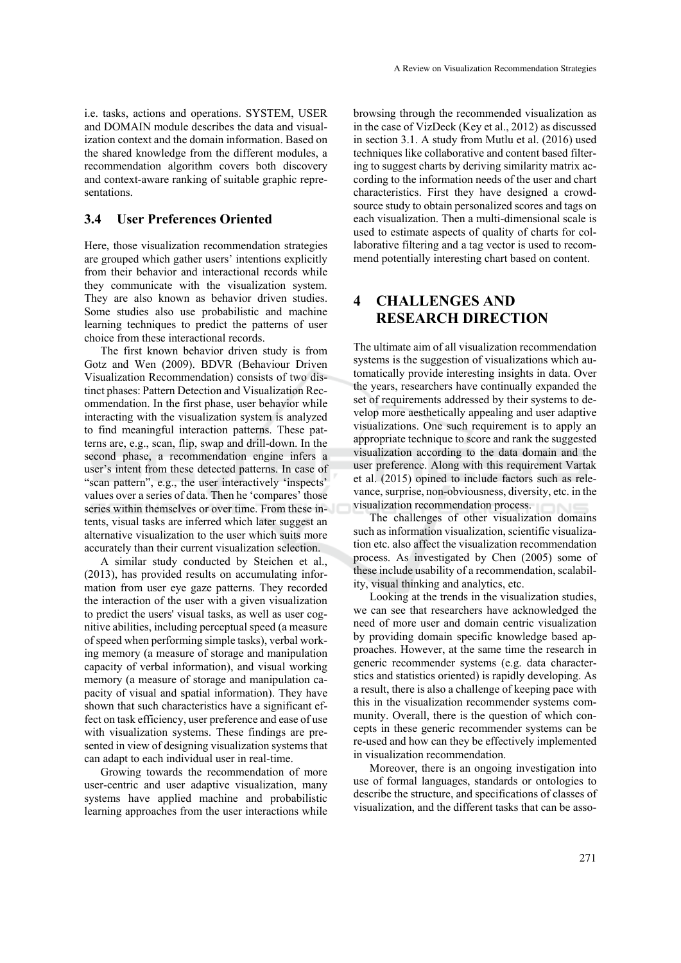i.e. tasks, actions and operations. SYSTEM, USER and DOMAIN module describes the data and visualization context and the domain information. Based on the shared knowledge from the different modules, a recommendation algorithm covers both discovery and context-aware ranking of suitable graphic representations.

## **3.4 User Preferences Oriented**

Here, those visualization recommendation strategies are grouped which gather users' intentions explicitly from their behavior and interactional records while they communicate with the visualization system. They are also known as behavior driven studies. Some studies also use probabilistic and machine learning techniques to predict the patterns of user choice from these interactional records.

The first known behavior driven study is from Gotz and Wen (2009). BDVR (Behaviour Driven Visualization Recommendation) consists of two distinct phases: Pattern Detection and Visualization Recommendation. In the first phase, user behavior while interacting with the visualization system is analyzed to find meaningful interaction patterns. These patterns are, e.g., scan, flip, swap and drill-down. In the second phase, a recommendation engine infers a user's intent from these detected patterns. In case of "scan pattern", e.g., the user interactively 'inspects' values over a series of data. Then he 'compares' those series within themselves or over time. From these intents, visual tasks are inferred which later suggest an alternative visualization to the user which suits more accurately than their current visualization selection.

A similar study conducted by Steichen et al., (2013), has provided results on accumulating information from user eye gaze patterns. They recorded the interaction of the user with a given visualization to predict the users' visual tasks, as well as user cognitive abilities, including perceptual speed (a measure of speed when performing simple tasks), verbal working memory (a measure of storage and manipulation capacity of verbal information), and visual working memory (a measure of storage and manipulation capacity of visual and spatial information). They have shown that such characteristics have a significant effect on task efficiency, user preference and ease of use with visualization systems. These findings are presented in view of designing visualization systems that can adapt to each individual user in real-time.

Growing towards the recommendation of more user-centric and user adaptive visualization, many systems have applied machine and probabilistic learning approaches from the user interactions while

browsing through the recommended visualization as in the case of VizDeck (Key et al., 2012) as discussed in section 3.1. A study from Mutlu et al. (2016) used techniques like collaborative and content based filtering to suggest charts by deriving similarity matrix according to the information needs of the user and chart characteristics. First they have designed a crowdsource study to obtain personalized scores and tags on each visualization. Then a multi-dimensional scale is used to estimate aspects of quality of charts for collaborative filtering and a tag vector is used to recommend potentially interesting chart based on content.

# **4 CHALLENGES AND RESEARCH DIRECTION**

The ultimate aim of all visualization recommendation systems is the suggestion of visualizations which automatically provide interesting insights in data. Over the years, researchers have continually expanded the set of requirements addressed by their systems to develop more aesthetically appealing and user adaptive visualizations. One such requirement is to apply an appropriate technique to score and rank the suggested visualization according to the data domain and the user preference. Along with this requirement Vartak et al. (2015) opined to include factors such as relevance, surprise, non-obviousness, diversity, etc. in the visualization recommendation process.

The challenges of other visualization domains such as information visualization, scientific visualization etc. also affect the visualization recommendation process. As investigated by Chen (2005) some of these include usability of a recommendation, scalability, visual thinking and analytics, etc.

Looking at the trends in the visualization studies, we can see that researchers have acknowledged the need of more user and domain centric visualization by providing domain specific knowledge based approaches. However, at the same time the research in generic recommender systems (e.g. data characterstics and statistics oriented) is rapidly developing. As a result, there is also a challenge of keeping pace with this in the visualization recommender systems community. Overall, there is the question of which concepts in these generic recommender systems can be re-used and how can they be effectively implemented in visualization recommendation.

Moreover, there is an ongoing investigation into use of formal languages, standards or ontologies to describe the structure, and specifications of classes of visualization, and the different tasks that can be asso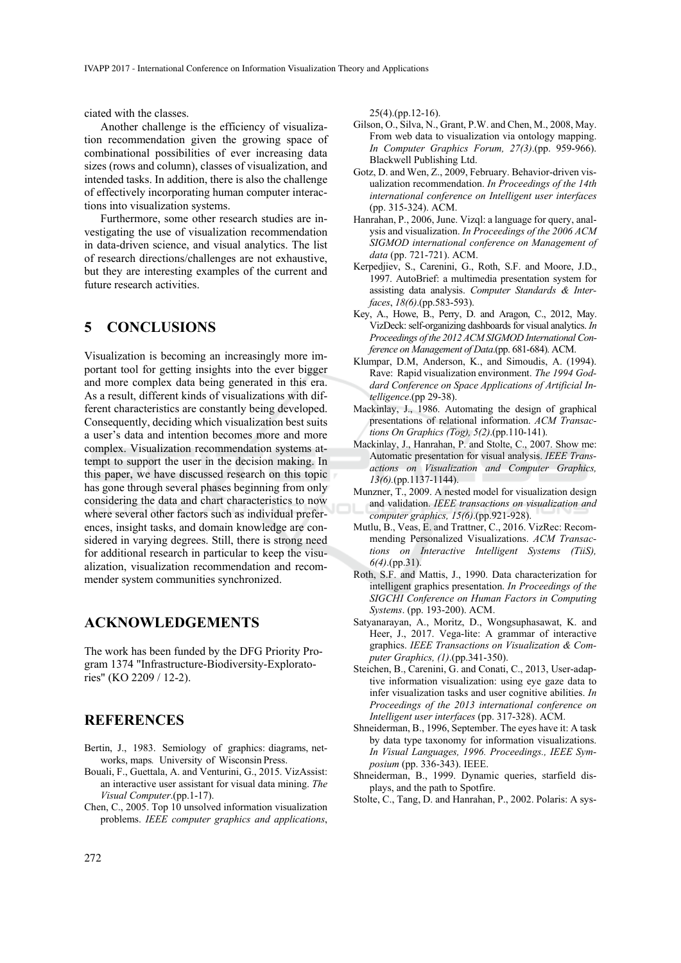ciated with the classes.

Another challenge is the efficiency of visualization recommendation given the growing space of combinational possibilities of ever increasing data sizes (rows and column), classes of visualization, and intended tasks. In addition, there is also the challenge of effectively incorporating human computer interactions into visualization systems.

Furthermore, some other research studies are investigating the use of visualization recommendation in data-driven science, and visual analytics. The list of research directions/challenges are not exhaustive, but they are interesting examples of the current and future research activities.

### **5 CONCLUSIONS**

Visualization is becoming an increasingly more important tool for getting insights into the ever bigger and more complex data being generated in this era. As a result, different kinds of visualizations with different characteristics are constantly being developed. Consequently, deciding which visualization best suits a user's data and intention becomes more and more complex. Visualization recommendation systems attempt to support the user in the decision making. In this paper, we have discussed research on this topic has gone through several phases beginning from only considering the data and chart characteristics to now where several other factors such as individual preferences, insight tasks, and domain knowledge are considered in varying degrees. Still, there is strong need for additional research in particular to keep the visualization, visualization recommendation and recommender system communities synchronized.

## **ACKNOWLEDGEMENTS**

The work has been funded by the DFG Priority Program 1374 "Infrastructure-Biodiversity-Exploratories" (KO 2209 / 12-2).

# **REFERENCES**

- Bertin, J., 1983. Semiology of graphics: diagrams, networks, maps*.* University of Wisconsin Press.
- Bouali, F., Guettala, A. and Venturini, G., 2015. VizAssist: an interactive user assistant for visual data mining. *The Visual Computer*.(pp.1-17).
- Chen, C., 2005. Top 10 unsolved information visualization problems. *IEEE computer graphics and applications*,

25(4).(pp.12-16).

- Gilson, O., Silva, N., Grant, P.W. and Chen, M., 2008, May. From web data to visualization via ontology mapping. *In Computer Graphics Forum, 27(3)*.(pp. 959-966). Blackwell Publishing Ltd.
- Gotz, D. and Wen, Z., 2009, February. Behavior-driven visualization recommendation. *In Proceedings of the 14th international conference on Intelligent user interfaces* (pp. 315-324). ACM.
- Hanrahan, P., 2006, June. Vizql: a language for query, analysis and visualization. *In Proceedings of the 2006 ACM SIGMOD international conference on Management of data* (pp. 721-721). ACM.
- Kerpedjiev, S., Carenini, G., Roth, S.F. and Moore, J.D., 1997. AutoBrief: a multimedia presentation system for assisting data analysis. *Computer Standards & Interfaces*, *18(6)*.(pp.583-593).
- Key, A., Howe, B., Perry, D. and Aragon, C., 2012, May. VizDeck: self-organizing dashboards for visual analytics. *In Proceedings of the 2012 ACM SIGMOD International Conference on Management of Data*.(pp. 681-684). ACM.
- Klumpar, D.M, Anderson, K., and Simoudis, A. (1994). Rave: Rapid visualization environment. *The 1994 Goddard Conference on Space Applications of Artificial Intelligence*.(pp 29-38).
- Mackinlay, J., 1986. Automating the design of graphical presentations of relational information. *ACM Transactions On Graphics (Tog), 5(2)*.(pp.110-141).
- Mackinlay, J., Hanrahan, P. and Stolte, C., 2007. Show me: Automatic presentation for visual analysis. *IEEE Transactions on Visualization and Computer Graphics, 13(6).*(pp.1137-1144).
- Munzner, T., 2009. A nested model for visualization design and validation. *IEEE transactions on visualization and computer graphics, 15(6)*.(pp.921-928).
- Mutlu, B., Veas, E. and Trattner, C., 2016. VizRec: Recommending Personalized Visualizations. *ACM Transactions on Interactive Intelligent Systems (TiiS), 6(4)*.(pp.31).
- Roth, S.F. and Mattis, J., 1990. Data characterization for intelligent graphics presentation. *In Proceedings of the SIGCHI Conference on Human Factors in Computing Systems*. (pp. 193-200). ACM.
- Satyanarayan, A., Moritz, D., Wongsuphasawat, K. and Heer, J., 2017. Vega-lite: A grammar of interactive graphics. *IEEE Transactions on Visualization & Computer Graphics, (1)*.(pp.341-350).
- Steichen, B., Carenini, G. and Conati, C., 2013, User-adaptive information visualization: using eye gaze data to infer visualization tasks and user cognitive abilities. *In Proceedings of the 2013 international conference on Intelligent user interfaces* (pp. 317-328). ACM.
- Shneiderman, B., 1996, September. The eyes have it: A task by data type taxonomy for information visualizations. *In Visual Languages, 1996. Proceedings., IEEE Symposium* (pp. 336-343). IEEE.
- Shneiderman, B., 1999. Dynamic queries, starfield displays, and the path to Spotfire.
- Stolte, C., Tang, D. and Hanrahan, P., 2002. Polaris: A sys-